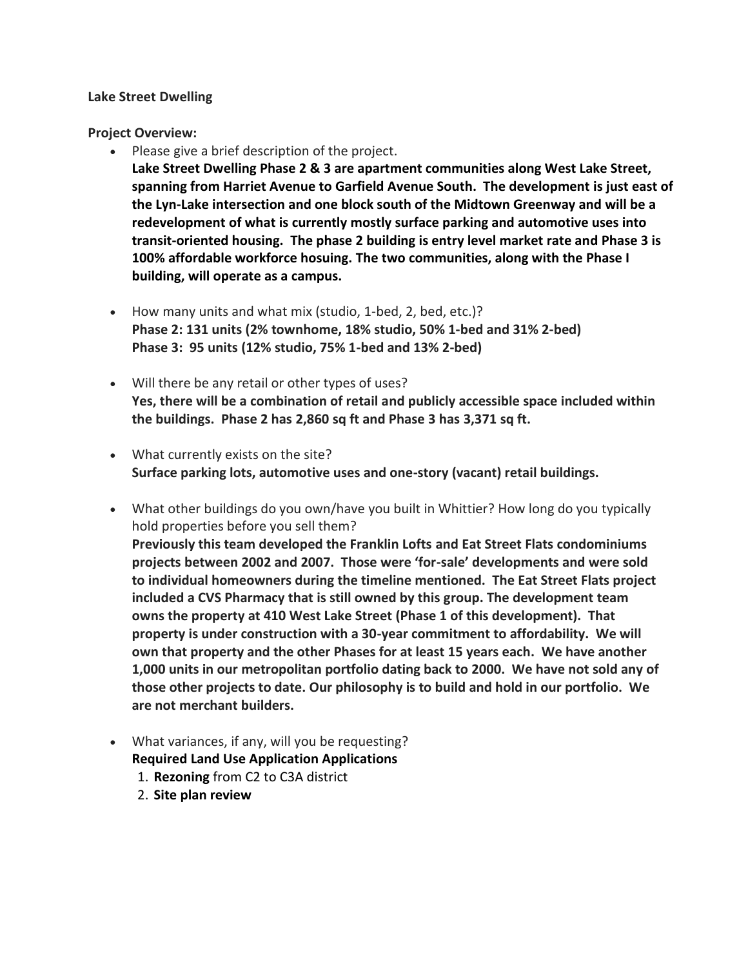### **Lake Street Dwelling**

**Project Overview:**

- Please give a brief description of the project. **Lake Street Dwelling Phase 2 & 3 are apartment communities along West Lake Street, spanning from Harriet Avenue to Garfield Avenue South. The development is just east of the Lyn-Lake intersection and one block south of the Midtown Greenway and will be a redevelopment of what is currently mostly surface parking and automotive uses into transit-oriented housing. The phase 2 building is entry level market rate and Phase 3 is 100% affordable workforce hosuing. The two communities, along with the Phase I building, will operate as a campus.**
- How many units and what mix (studio, 1-bed, 2, bed, etc.)? **Phase 2: 131 units (2% townhome, 18% studio, 50% 1-bed and 31% 2-bed) Phase 3: 95 units (12% studio, 75% 1-bed and 13% 2-bed)**
- Will there be any retail or other types of uses? **Yes, there will be a combination of retail and publicly accessible space included within the buildings. Phase 2 has 2,860 sq ft and Phase 3 has 3,371 sq ft.**
- What currently exists on the site? **Surface parking lots, automotive uses and one-story (vacant) retail buildings.**
- What other buildings do you own/have you built in Whittier? How long do you typically hold properties before you sell them? **Previously this team developed the Franklin Lofts and Eat Street Flats condominiums projects between 2002 and 2007. Those were 'for-sale' developments and were sold to individual homeowners during the timeline mentioned. The Eat Street Flats project included a CVS Pharmacy that is still owned by this group. The development team owns the property at 410 West Lake Street (Phase 1 of this development). That property is under construction with a 30-year commitment to affordability. We will own that property and the other Phases for at least 15 years each. We have another 1,000 units in our metropolitan portfolio dating back to 2000. We have not sold any of those other projects to date. Our philosophy is to build and hold in our portfolio. We are not merchant builders.**
- What variances, if any, will you be requesting?
	- **Required Land Use Application Applications**
	- 1. **Rezoning** from C2 to C3A district
	- 2. **Site plan review**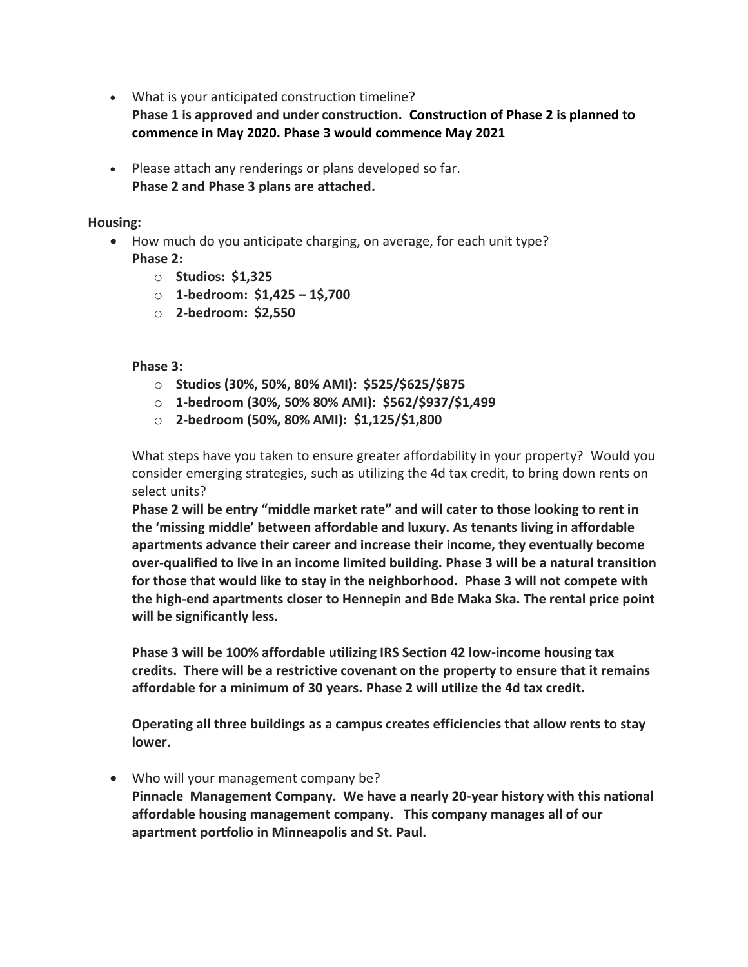• What is your anticipated construction timeline?

**Phase 1 is approved and under construction. Construction of Phase 2 is planned to commence in May 2020. Phase 3 would commence May 2021** 

• Please attach any renderings or plans developed so far. **Phase 2 and Phase 3 plans are attached.**

## **Housing:**

- How much do you anticipate charging, on average, for each unit type? **Phase 2:**
	- o **Studios: \$1,325**
	- o **1-bedroom: \$1,425 – 1\$,700**
	- o **2-bedroom: \$2,550**

## **Phase 3:**

- o **Studios (30%, 50%, 80% AMI): \$525/\$625/\$875**
- o **1-bedroom (30%, 50% 80% AMI): \$562/\$937/\$1,499**
- o **2-bedroom (50%, 80% AMI): \$1,125/\$1,800**

What steps have you taken to ensure greater affordability in your property? Would you consider emerging strategies, such as utilizing the 4d tax credit, to bring down rents on select units?

**Phase 2 will be entry "middle market rate" and will cater to those looking to rent in the 'missing middle' between affordable and luxury. As tenants living in affordable apartments advance their career and increase their income, they eventually become over-qualified to live in an income limited building. Phase 3 will be a natural transition for those that would like to stay in the neighborhood. Phase 3 will not compete with the high-end apartments closer to Hennepin and Bde Maka Ska. The rental price point will be significantly less.** 

**Phase 3 will be 100% affordable utilizing IRS Section 42 low-income housing tax credits. There will be a restrictive covenant on the property to ensure that it remains affordable for a minimum of 30 years. Phase 2 will utilize the 4d tax credit.** 

**Operating all three buildings as a campus creates efficiencies that allow rents to stay lower.**

• Who will your management company be?

**Pinnacle Management Company. We have a nearly 20-year history with this national affordable housing management company. This company manages all of our apartment portfolio in Minneapolis and St. Paul.**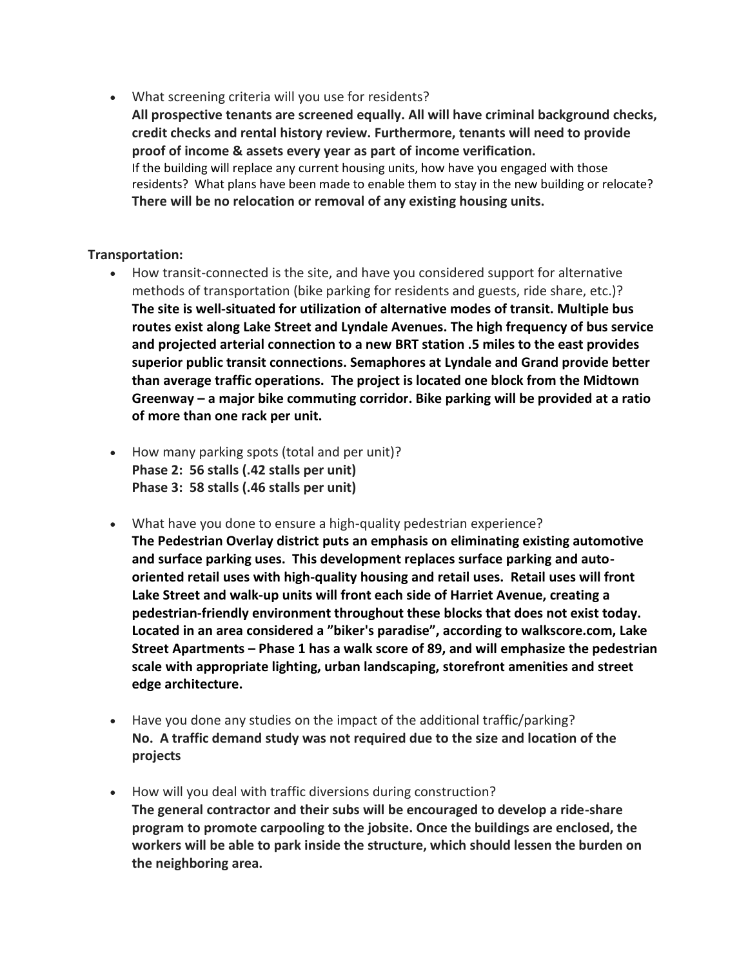• What screening criteria will you use for residents?

**All prospective tenants are screened equally. All will have criminal background checks, credit checks and rental history review. Furthermore, tenants will need to provide proof of income & assets every year as part of income verification.**  If the building will replace any current housing units, how have you engaged with those residents? What plans have been made to enable them to stay in the new building or relocate? **There will be no relocation or removal of any existing housing units.**

# **Transportation:**

- How transit-connected is the site, and have you considered support for alternative methods of transportation (bike parking for residents and guests, ride share, etc.)? **The site is well-situated for utilization of alternative modes of transit. Multiple bus routes exist along Lake Street and Lyndale Avenues. The high frequency of bus service and projected arterial connection to a new BRT station .5 miles to the east provides superior public transit connections. Semaphores at Lyndale and Grand provide better than average traffic operations. The project is located one block from the Midtown Greenway – a major bike commuting corridor. Bike parking will be provided at a ratio of more than one rack per unit.**
- How many parking spots (total and per unit)? **Phase 2: 56 stalls (.42 stalls per unit) Phase 3: 58 stalls (.46 stalls per unit)**
- What have you done to ensure a high-quality pedestrian experience? **The Pedestrian Overlay district puts an emphasis on eliminating existing automotive and surface parking uses. This development replaces surface parking and autooriented retail uses with high-quality housing and retail uses. Retail uses will front Lake Street and walk-up units will front each side of Harriet Avenue, creating a pedestrian-friendly environment throughout these blocks that does not exist today. Located in an area considered a "biker's paradise", according to walkscore.com, Lake Street Apartments – Phase 1 has a walk score of 89, and will emphasize the pedestrian scale with appropriate lighting, urban landscaping, storefront amenities and street edge architecture.**
- Have you done any studies on the impact of the additional traffic/parking? **No. A traffic demand study was not required due to the size and location of the projects**
- How will you deal with traffic diversions during construction? **The general contractor and their subs will be encouraged to develop a ride-share program to promote carpooling to the jobsite. Once the buildings are enclosed, the workers will be able to park inside the structure, which should lessen the burden on the neighboring area.**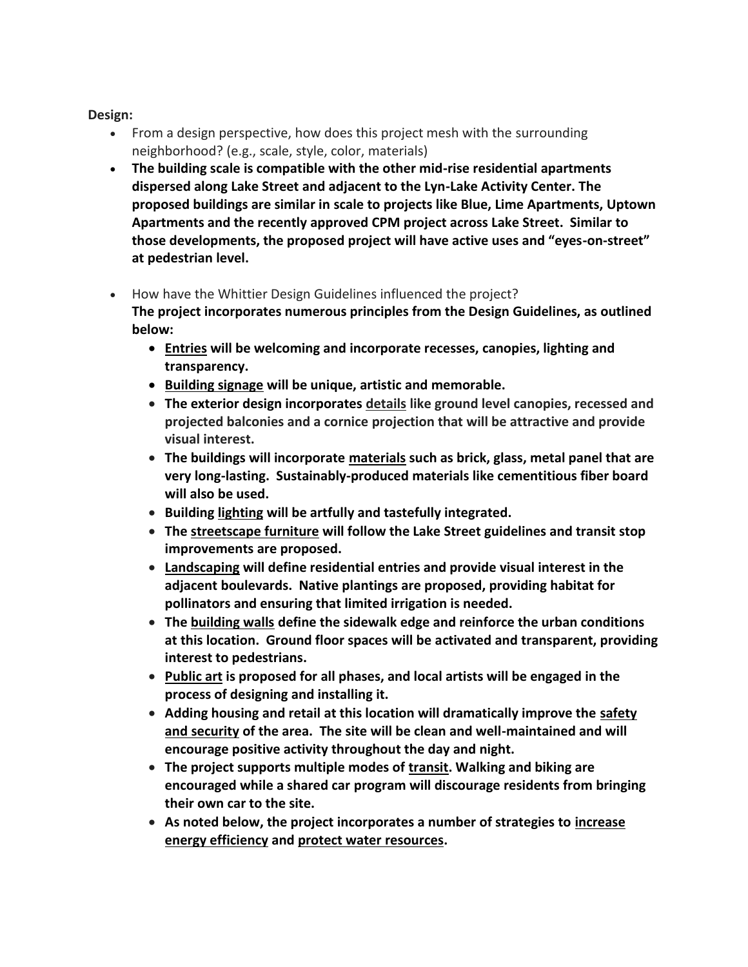**Design:**

- From a design perspective, how does this project mesh with the surrounding neighborhood? (e.g., scale, style, color, materials)
- **The building scale is compatible with the other mid-rise residential apartments dispersed along Lake Street and adjacent to the Lyn-Lake Activity Center. The proposed buildings are similar in scale to projects like Blue, Lime Apartments, Uptown Apartments and the recently approved CPM project across Lake Street. Similar to those developments, the proposed project will have active uses and "eyes-on-street" at pedestrian level.**
- How have the Whittier Design Guidelines influenced the project?

**The project incorporates numerous principles from the Design Guidelines, as outlined below:**

- **Entries will be welcoming and incorporate recesses, canopies, lighting and transparency.**
- **Building signage will be unique, artistic and memorable.**
- **The exterior design incorporates details like ground level canopies, recessed and projected balconies and a cornice projection that will be attractive and provide visual interest.**
- **The buildings will incorporate materials such as brick, glass, metal panel that are very long-lasting. Sustainably-produced materials like cementitious fiber board will also be used.**
- **Building lighting will be artfully and tastefully integrated.**
- **The streetscape furniture will follow the Lake Street guidelines and transit stop improvements are proposed.**
- **Landscaping will define residential entries and provide visual interest in the adjacent boulevards. Native plantings are proposed, providing habitat for pollinators and ensuring that limited irrigation is needed.**
- **The building walls define the sidewalk edge and reinforce the urban conditions at this location. Ground floor spaces will be activated and transparent, providing interest to pedestrians.**
- **Public art is proposed for all phases, and local artists will be engaged in the process of designing and installing it.**
- **Adding housing and retail at this location will dramatically improve the safety and security of the area. The site will be clean and well-maintained and will encourage positive activity throughout the day and night.**
- **The project supports multiple modes of transit. Walking and biking are encouraged while a shared car program will discourage residents from bringing their own car to the site.**
- **As noted below, the project incorporates a number of strategies to increase energy efficiency and protect water resources.**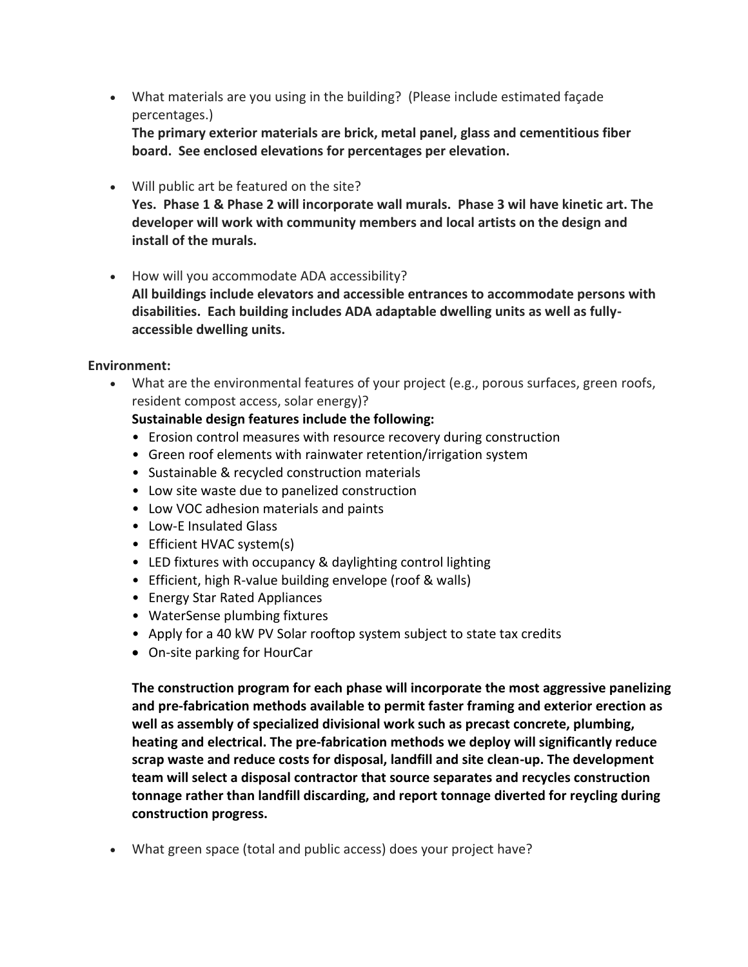• What materials are you using in the building? (Please include estimated façade percentages.)

**The primary exterior materials are brick, metal panel, glass and cementitious fiber board. See enclosed elevations for percentages per elevation.** 

- Will public art be featured on the site? **Yes. Phase 1 & Phase 2 will incorporate wall murals. Phase 3 wil have kinetic art. The developer will work with community members and local artists on the design and install of the murals.**
- How will you accommodate ADA accessibility? **All buildings include elevators and accessible entrances to accommodate persons with disabilities. Each building includes ADA adaptable dwelling units as well as fullyaccessible dwelling units.**

## **Environment:**

• What are the environmental features of your project (e.g., porous surfaces, green roofs, resident compost access, solar energy)?

## **Sustainable design features include the following:**

- Erosion control measures with resource recovery during construction
- Green roof elements with rainwater retention/irrigation system
- Sustainable & recycled construction materials
- Low site waste due to panelized construction
- Low VOC adhesion materials and paints
- Low-E Insulated Glass
- Efficient HVAC system(s)
- LED fixtures with occupancy & daylighting control lighting
- Efficient, high R-value building envelope (roof & walls)
- Energy Star Rated Appliances
- WaterSense plumbing fixtures
- Apply for a 40 kW PV Solar rooftop system subject to state tax credits
- On-site parking for HourCar

**The construction program for each phase will incorporate the most aggressive panelizing and pre-fabrication methods available to permit faster framing and exterior erection as well as assembly of specialized divisional work such as precast concrete, plumbing, heating and electrical. The pre-fabrication methods we deploy will significantly reduce scrap waste and reduce costs for disposal, landfill and site clean-up. The development team will select a disposal contractor that source separates and recycles construction tonnage rather than landfill discarding, and report tonnage diverted for reycling during construction progress.**

• What green space (total and public access) does your project have?